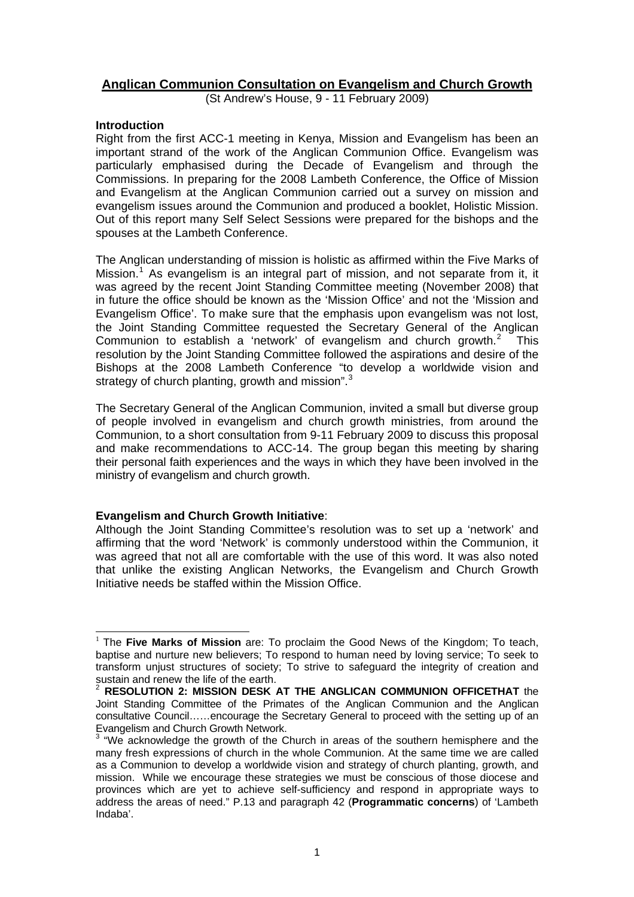# **Anglican Communion Consultation on Evangelism and Church Growth**

(St Andrew's House, 9 - 11 February 2009)

# **Introduction**

l

Right from the first ACC-1 meeting in Kenya, Mission and Evangelism has been an important strand of the work of the Anglican Communion Office. Evangelism was particularly emphasised during the Decade of Evangelism and through the Commissions. In preparing for the 2008 Lambeth Conference, the Office of Mission and Evangelism at the Anglican Communion carried out a survey on mission and evangelism issues around the Communion and produced a booklet, Holistic Mission. Out of this report many Self Select Sessions were prepared for the bishops and the spouses at the Lambeth Conference.

The Anglican understanding of mission is holistic as affirmed within the Five Marks of Mission.<sup>[1](#page-0-0)</sup> As evangelism is an integral part of mission, and not separate from it, it was agreed by the recent Joint Standing Committee meeting (November 2008) that in future the office should be known as the 'Mission Office' and not the 'Mission and Evangelism Office'. To make sure that the emphasis upon evangelism was not lost, the Joint Standing Committee requested the Secretary General of the Anglican Communion to establish a 'network' of evangelism and church growth.[2](#page-0-1) This resolution by the Joint Standing Committee followed the aspirations and desire of the Bishops at the 2008 Lambeth Conference "to develop a worldwide vision and strategy of church planting, growth and mission".<sup>[3](#page-0-2)</sup>

The Secretary General of the Anglican Communion, invited a small but diverse group of people involved in evangelism and church growth ministries, from around the Communion, to a short consultation from 9-11 February 2009 to discuss this proposal and make recommendations to ACC-14. The group began this meeting by sharing their personal faith experiences and the ways in which they have been involved in the ministry of evangelism and church growth.

# **Evangelism and Church Growth Initiative**:

Although the Joint Standing Committee's resolution was to set up a 'network' and affirming that the word 'Network' is commonly understood within the Communion, it was agreed that not all are comfortable with the use of this word. It was also noted that unlike the existing Anglican Networks, the Evangelism and Church Growth Initiative needs be staffed within the Mission Office.

<span id="page-0-0"></span><sup>1</sup> The **Five Marks of Mission** are: To proclaim the Good News of the Kingdom; To teach, baptise and nurture new believers; To respond to human need by loving service; To seek to transform unjust structures of society; To strive to safeguard the integrity of creation and sustain and renew the life of the earth.

<span id="page-0-1"></span><sup>2</sup> **RESOLUTION 2: MISSION DESK AT THE ANGLICAN COMMUNION OFFICETHAT** the Joint Standing Committee of the Primates of the Anglican Communion and the Anglican consultative Council……encourage the Secretary General to proceed with the setting up of an Evangelism and Church Growth Network.

<span id="page-0-2"></span> $3$  "We acknowledge the growth of the Church in areas of the southern hemisphere and the many fresh expressions of church in the whole Communion. At the same time we are called as a Communion to develop a worldwide vision and strategy of church planting, growth, and mission. While we encourage these strategies we must be conscious of those diocese and provinces which are yet to achieve self-sufficiency and respond in appropriate ways to address the areas of need." P.13 and paragraph 42 (**Programmatic concerns**) of 'Lambeth Indaba'.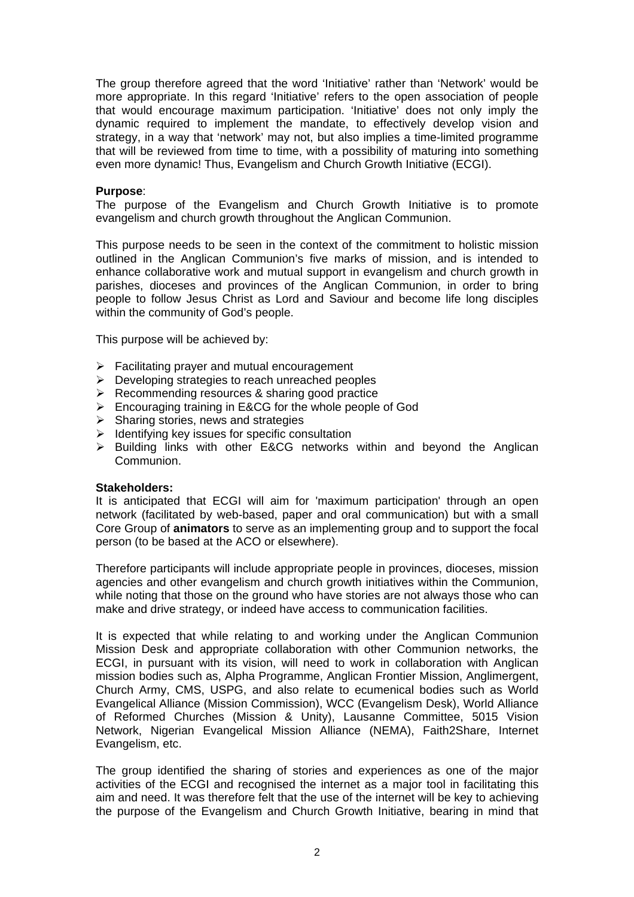The group therefore agreed that the word 'Initiative' rather than 'Network' would be more appropriate. In this regard 'Initiative' refers to the open association of people that would encourage maximum participation. 'Initiative' does not only imply the dynamic required to implement the mandate, to effectively develop vision and strategy, in a way that 'network' may not, but also implies a time-limited programme that will be reviewed from time to time, with a possibility of maturing into something even more dynamic! Thus, Evangelism and Church Growth Initiative (ECGI).

### **Purpose**:

The purpose of the Evangelism and Church Growth Initiative is to promote evangelism and church growth throughout the Anglican Communion.

This purpose needs to be seen in the context of the commitment to holistic mission outlined in the Anglican Communion's five marks of mission, and is intended to enhance collaborative work and mutual support in evangelism and church growth in parishes, dioceses and provinces of the Anglican Communion, in order to bring people to follow Jesus Christ as Lord and Saviour and become life long disciples within the community of God's people.

This purpose will be achieved by:

- $\triangleright$  Facilitating prayer and mutual encouragement
- ¾ Developing strategies to reach unreached peoples
- $\triangleright$  Recommending resources & sharing good practice
- ¾ Encouraging training in E&CG for the whole people of God
- $\triangleright$  Sharing stories, news and strategies
- $\blacktriangleright$  Identifying key issues for specific consultation
- ¾ Building links with other E&CG networks within and beyond the Anglican Communion.

#### **Stakeholders:**

It is anticipated that ECGI will aim for 'maximum participation' through an open network (facilitated by web-based, paper and oral communication) but with a small Core Group of **animators** to serve as an implementing group and to support the focal person (to be based at the ACO or elsewhere).

Therefore participants will include appropriate people in provinces, dioceses, mission agencies and other evangelism and church growth initiatives within the Communion, while noting that those on the ground who have stories are not always those who can make and drive strategy, or indeed have access to communication facilities.

It is expected that while relating to and working under the Anglican Communion Mission Desk and appropriate collaboration with other Communion networks, the ECGI, in pursuant with its vision, will need to work in collaboration with Anglican mission bodies such as, Alpha Programme, Anglican Frontier Mission, Anglimergent, Church Army, CMS, USPG, and also relate to ecumenical bodies such as World Evangelical Alliance (Mission Commission), WCC (Evangelism Desk), World Alliance of Reformed Churches (Mission & Unity), Lausanne Committee, 5015 Vision Network, Nigerian Evangelical Mission Alliance (NEMA), Faith2Share, Internet Evangelism, etc.

The group identified the sharing of stories and experiences as one of the major activities of the ECGI and recognised the internet as a major tool in facilitating this aim and need. It was therefore felt that the use of the internet will be key to achieving the purpose of the Evangelism and Church Growth Initiative, bearing in mind that